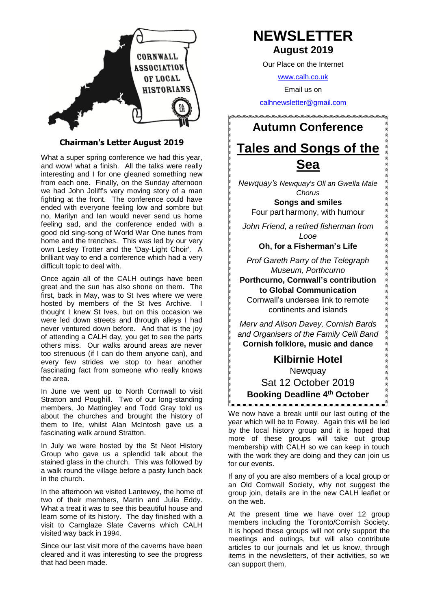

#### **Chairman's Letter August 2019**

What a super spring conference we had this year, and wow! what a finish. All the talks were really interesting and I for one gleaned something new from each one. Finally, on the Sunday afternoon we had John Joliff's very moving story of a man fighting at the front. The conference could have ended with everyone feeling low and sombre but no, Marilyn and Ian would never send us home feeling sad, and the conference ended with a good old sing-song of World War One tunes from home and the trenches. This was led by our very own Lesley Trotter and the 'Day-Light Choir'. A brilliant way to end a conference which had a very difficult topic to deal with.

Once again all of the CALH outings have been great and the sun has also shone on them. The first, back in May, was to St Ives where we were hosted by members of the St Ives Archive. I thought I knew St Ives, but on this occasion we were led down streets and through alleys I had never ventured down before. And that is the joy of attending a CALH day, you get to see the parts others miss. Our walks around areas are never too strenuous (if I can do them anyone can), and every few strides we stop to hear another fascinating fact from someone who really knows the area.

In June we went up to North Cornwall to visit Stratton and Poughill. Two of our long-standing members, Jo Mattingley and Todd Gray told us about the churches and brought the history of them to life, whilst Alan McIntosh gave us a fascinating walk around Stratton.

In July we were hosted by the St Neot History Group who gave us a splendid talk about the stained glass in the church. This was followed by a walk round the village before a pasty lunch back in the church.

In the afternoon we visited Lantewey, the home of two of their members, Martin and Julia Eddy. What a treat it was to see this beautiful house and learn some of its history. The day finished with a visit to Carnglaze Slate Caverns which CALH visited way back in 1994.

Since our last visit more of the caverns have been cleared and it was interesting to see the progress that had been made.

# **NEWSLETTER August 2019**

Our Place on the Internet

[www.calh.co.uk](http://www.calh.co.uk/)

Email us on

[calhnewsletter@gmail.com](mailto:calhnewsletter@gmail.com)

**Autumn Conference Tales and Songs of the Sea**

*Newquay's Newquay's Oll an Gwella Male Chorus*

**Songs and smiles** Four part harmony, with humour

*John Friend, a retired fisherman from Looe*

**Oh, for a Fisherman's Life**

*Prof Gareth Parry of the Telegraph Museum, Porthcurno* 

**Porthcurno, Cornwall's contribution to Global Communication** Cornwall's undersea link to remote continents and islands

*Merv and Alison Davey, Cornish Bards and Organisers of the Family Ceili Band* **Cornish folklore, music and dance**

> **Kilbirnie Hotel Newquay** Sat 12 October 2019

**Booking Deadline 4 th October**

We now have a break until our last outing of the year which will be to Fowey. Again this will be led by the local history group and it is hoped that more of these groups will take out group membership with CALH so we can keep in touch with the work they are doing and they can join us for our events.

If any of you are also members of a local group or an Old Cornwall Society, why not suggest the group join, details are in the new CALH leaflet or on the web.

At the present time we have over 12 group members including the Toronto/Cornish Society. It is hoped these groups will not only support the meetings and outings, but will also contribute articles to our journals and let us know, through items in the newsletters, of their activities, so we can support them.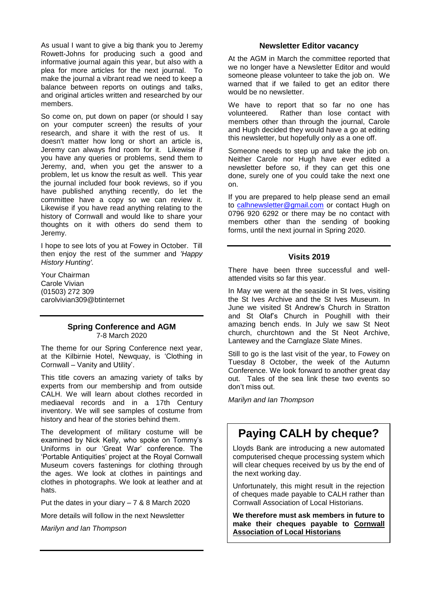As usual I want to give a big thank you to Jeremy Rowett-Johns for producing such a good and informative journal again this year, but also with a plea for more articles for the next journal. To make the journal a vibrant read we need to keep a balance between reports on outings and talks, and original articles written and researched by our members.

So come on, put down on paper (or should I say on your computer screen) the results of your research, and share it with the rest of us. It doesn't matter how long or short an article is, Jeremy can always find room for it. Likewise if you have any queries or problems, send them to Jeremy, and, when you get the answer to a problem, let us know the result as well. This year the journal included four book reviews, so if you have published anything recently, do let the committee have a copy so we can review it. Likewise if you have read anything relating to the history of Cornwall and would like to share your thoughts on it with others do send them to Jeremy.

I hope to see lots of you at Fowey in October. Till then enjoy the rest of the summer and *'Happy History Hunting'.* 

Your Chairman Carole Vivian (01503) 272 309 carolvivian309@btinternet

# **Spring Conference and AGM**

7-8 March 2020

The theme for our Spring Conference next year, at the Kilbirnie Hotel, Newquay, is 'Clothing in Cornwall – Vanity and Utility'.

This title covers an amazing variety of talks by experts from our membership and from outside CALH. We will learn about clothes recorded in mediaeval records and in a 17th Century inventory. We will see samples of costume from history and hear of the stories behind them.

The development of military costume will be examined by Nick Kelly, who spoke on Tommy's Uniforms in our 'Great War' conference. The 'Portable Antiquities' project at the Royal Cornwall Museum covers fastenings for clothing through the ages. We look at clothes in paintings and clothes in photographs. We look at leather and at hats.

Put the dates in your diary – 7 & 8 March 2020

More details will follow in the next Newsletter

*Marilyn and Ian Thompson*

#### **Newsletter Editor vacancy**

At the AGM in March the committee reported that we no longer have a Newsletter Editor and would someone please volunteer to take the job on. We warned that if we failed to get an editor there would be no newsletter.

We have to report that so far no one has volunteered. Rather than lose contact with members other than through the journal, Carole and Hugh decided they would have a go at editing this newsletter, but hopefully only as a one off.

Someone needs to step up and take the job on. Neither Carole nor Hugh have ever edited a newsletter before so, if they can get this one done, surely one of you could take the next one on.

If you are prepared to help please send an email to [calhnewsletter@gmail.com](mailto:calhnewsletter@gmail.com) or contact Hugh on 0796 920 6292 or there may be no contact with members other than the sending of booking forms, until the next journal in Spring 2020.

#### **Visits 2019**

There have been three successful and wellattended visits so far this year.

In May we were at the seaside in St Ives, visiting the St Ives Archive and the St Ives Museum. In June we visited St Andrew's Church in Stratton and St Olaf's Church in Poughill with their amazing bench ends. In July we saw St Neot church, churchtown and the St Neot Archive, Lantewey and the Carnglaze Slate Mines.

Still to go is the last visit of the year, to Fowey on Tuesday 8 October, the week of the Autumn Conference. We look forward to another great day out. Tales of the sea link these two events so don't miss out.

*Marilyn and Ian Thompson*

# **Paying CALH by cheque?**

Lloyds Bank are introducing a new automated computerised cheque processing system which will clear cheques received by us by the end of the next working day.

Unfortunately, this might result in the rejection of cheques made payable to CALH rather than Cornwall Association of Local Historians.

**We therefore must ask members in future to make their cheques payable to Cornwall Association of Local Historians**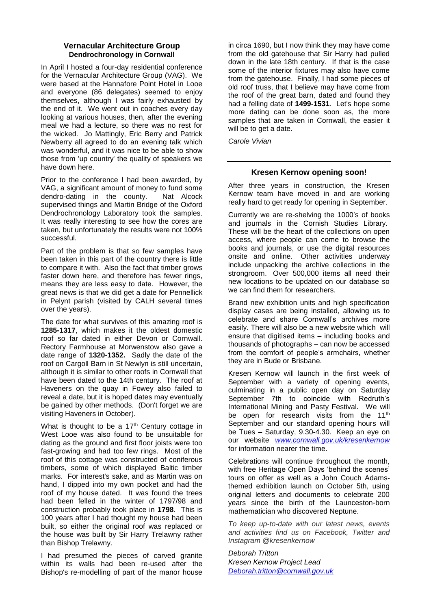#### **Vernacular Architecture Group Dendrochronology in Cornwall**

In April I hosted a four-day residential conference for the Vernacular Architecture Group (VAG). We were based at the Hannafore Point Hotel in Looe and everyone (86 delegates) seemed to enjoy themselves, although I was fairly exhausted by the end of it. We went out in coaches every day looking at various houses, then, after the evening meal we had a lecture, so there was no rest for the wicked. Jo Mattingly, Eric Berry and Patrick Newberry all agreed to do an evening talk which was wonderful, and it was nice to be able to show those from 'up country' the quality of speakers we have down here.

Prior to the conference I had been awarded, by VAG, a significant amount of money to fund some dendro-dating in the county. Nat Alcock supervised things and Martin Bridge of the Oxford Dendrochronology Laboratory took the samples. It was really interesting to see how the cores are taken, but unfortunately the results were not 100% successful.

Part of the problem is that so few samples have been taken in this part of the country there is little to compare it with. Also the fact that timber grows faster down here, and therefore has fewer rings, means they are less easy to date. However, the great news is that we did get a date for Pennellick in Pelynt parish (visited by CALH several times over the years).

The date for what survives of this amazing roof is **1285-1317**, which makes it the oldest domestic roof so far dated in either Devon or Cornwall. Rectory Farmhouse at Morwenstow also gave a date range of **1320-1352.** Sadly the date of the roof on Cargoll Barn in St Newlyn is still uncertain, although it is similar to other roofs in Cornwall that have been dated to the 14th century. The roof at Haveners on the quay in Fowey also failed to reveal a date, but it is hoped dates may eventually be gained by other methods. (Don't forget we are visiting Haveners in October).

What is thought to be a 17<sup>th</sup> Century cottage in West Looe was also found to be unsuitable for dating as the ground and first floor joists were too fast-growing and had too few rings. Most of the roof of this cottage was constructed of coniferous timbers, some of which displayed Baltic timber marks. For interest's sake, and as Martin was on hand, I dipped into my own pocket and had the roof of my house dated. It was found the trees had been felled in the winter of 1797/98 and construction probably took place in **1798**. This is 100 years after I had thought my house had been built, so either the original roof was replaced or the house was built by Sir Harry Trelawny rather than Bishop Trelawny.

I had presumed the pieces of carved granite within its walls had been re-used after the Bishop's re-modelling of part of the manor house

in circa 1690, but I now think they may have come from the old gatehouse that Sir Harry had pulled down in the late 18th century. If that is the case some of the interior fixtures may also have come from the gatehouse. Finally, I had some pieces of old roof truss, that I believe may have come from the roof of the great barn, dated and found they had a felling date of **1499-1531**. Let's hope some more dating can be done soon as, the more samples that are taken in Cornwall, the easier it will be to get a date.

*Carole Vivian*

#### **Kresen Kernow opening soon!**

After three years in construction, the Kresen Kernow team have moved in and are working really hard to get ready for opening in September.

Currently we are re-shelving the 1000's of books and journals in the Cornish Studies Library. These will be the heart of the collections on open access, where people can come to browse the books and journals, or use the digital resources onsite and online. Other activities underway include unpacking the archive collections in the strongroom. Over 500,000 items all need their new locations to be updated on our database so we can find them for researchers.

Brand new exhibition units and high specification display cases are being installed, allowing us to celebrate and share Cornwall's archives more easily. There will also be a new website which will ensure that digitised items – including books and thousands of photographs – can now be accessed from the comfort of people's armchairs, whether they are in Bude or Brisbane.

Kresen Kernow will launch in the first week of September with a variety of opening events, culminating in a public open day on Saturday September 7th to coincide with Redruth's International Mining and Pasty Festival. We will be open for research visits from the 11<sup>th</sup> September and our standard opening hours will be Tues – Saturday, 9.30-4.30. Keep an eye on our website *[www.cornwall.gov.uk/kresenkernow](http://www.cornwall.gov.uk/kresenkernow)* for information nearer the time.

Celebrations will continue throughout the month, with free Heritage Open Days 'behind the scenes' tours on offer as well as a John Couch Adamsthemed exhibition launch on October 5th, using original letters and documents to celebrate 200 years since the birth of the Launceston-born mathematician who discovered Neptune.

*To keep up-to-date with our latest news, events and activities find us on Facebook, Twitter and Instagram @kresenkernow*

*Deborah Tritton Kresen Kernow Project Lead [Deborah.tritton@cornwall.gov.uk](mailto:Deborah.tritton@cornwall.gov.uk)*